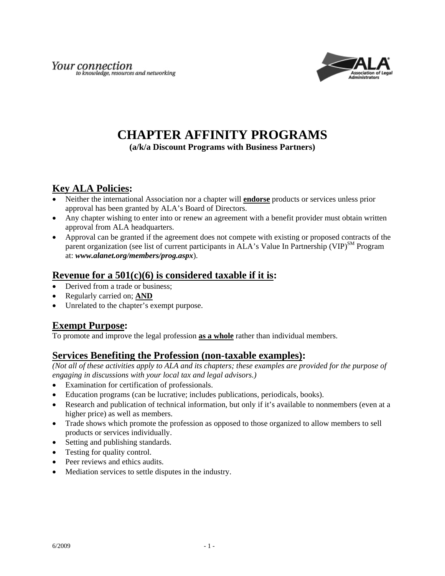

# **CHAPTER AFFINITY PROGRAMS**

**(a/k/a Discount Programs with Business Partners)** 

# **Key ALA Policies:**

- Neither the international Association nor a chapter will **endorse** products or services unless prior approval has been granted by ALA's Board of Directors.
- Any chapter wishing to enter into or renew an agreement with a benefit provider must obtain written approval from ALA headquarters.
- Approval can be granted if the agreement does not compete with existing or proposed contracts of the parent organization (see list of current participants in  $ALA$ 's Value In Partnership (VIP)<sup>SM</sup> Program at: *www.alanet.org/members/prog.aspx*).

### **Revenue for a 501(c)(6) is considered taxable if it is:**

- Derived from a trade or business;
- Regularly carried on; **AND**
- Unrelated to the chapter's exempt purpose.

## **Exempt Purpose:**

To promote and improve the legal profession **as a whole** rather than individual members.

## **Services Benefiting the Profession (non-taxable examples):**

*(Not all of these activities apply to ALA and its chapters; these examples are provided for the purpose of engaging in discussions with your local tax and legal advisors.)* 

- Examination for certification of professionals.
- Education programs (can be lucrative; includes publications, periodicals, books).
- Research and publication of technical information, but only if it's available to nonmembers (even at a higher price) as well as members.
- Trade shows which promote the profession as opposed to those organized to allow members to sell products or services individually.
- Setting and publishing standards.
- Testing for quality control.
- Peer reviews and ethics audits.
- Mediation services to settle disputes in the industry.